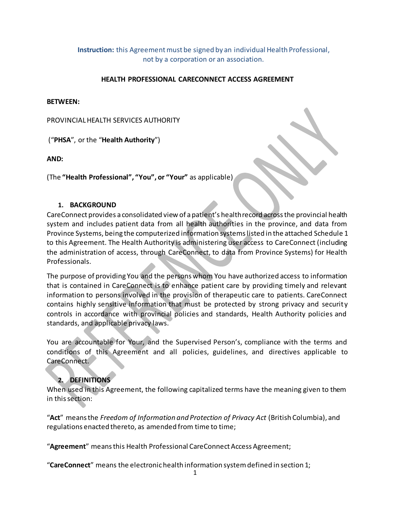**Instruction:** this Agreement must be signed by an individual Health Professional, not by a corporation or an association.

#### **HEALTH PROFESSIONAL CARECONNECT ACCESS AGREEMENT**

#### **BETWEEN:**

PROVINCIALHEALTH SERVICES AUTHORITY

("**PHSA**", or the "**Health Authority**")

**AND:**

(The **"Health Professional", "You", or "Your"** as applicable)

#### **1. BACKGROUND**

CareConnect provides a consolidated view of apatient's healthrecord acrossthe provincial health system and includes patient data from all health authorities in the province, and data from Province Systems, being the computerized information systemslisted in the attached Schedule 1 to this Agreement. The Health Authority is administering user access to CareConnect (including the administration of access, through CareConnect, to data from Province Systems) for Health Professionals.

The purpose of providing You and the persons whom You have authorized access to information that is contained in CareConnect is to enhance patient care by providing timely and relevant information to persons involved in the provision of therapeutic care to patients. CareConnect contains highly sensitive information that must be protected by strong privacy and security controls in accordance with provincial policies and standards, Health Authority policies and standards, and applicable privacy laws.

You are accountable for Your, and the Supervised Person's, compliance with the terms and conditions of this Agreement and all policies, guidelines, and directives applicable to CareConnect.

#### **2. DEFINITIONS**

When used in this Agreement, the following capitalized terms have the meaning given to them in this section:

"**Act**" means the *Freedom of Information and Protection of Privacy Act* (British Columbia), and regulations enacted thereto, as amended from time to time;

"**Agreement**" means this Health Professional CareConnect Access Agreement;

"**CareConnect**" means the electronichealth information systemdefined in section 1;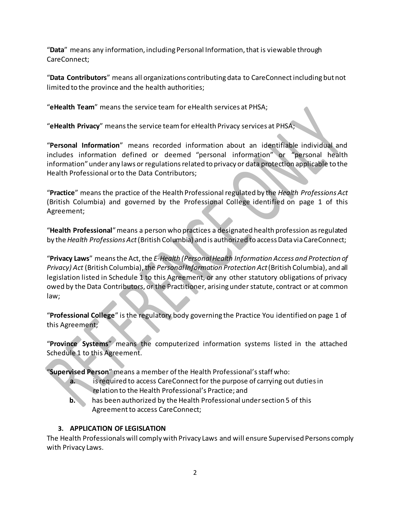"**Data**" means any information, including Personal Information, that is viewable through CareConnect;

"**Data Contributors**" means all organizations contributing data to CareConnectincluding but not limited to the province and the health authorities;

"**eHealth Team**" means the service team for eHealth services at PHSA;

"**eHealth Privacy**" meansthe service teamfor eHealth Privacy services at PHSA;

"**Personal Information**" means recorded information about an identifiable individual and includes information defined or deemed "personal information" or "personal health information" under any laws or regulations related to privacy or data protection applicable to the Health Professional orto the Data Contributors;

"**Practice**" means the practice of the Health Professional regulated by the *Health Professions Act* (British Columbia) and governed by the Professional College identified on page 1 of this Agreement;

"**Health Professional**"means a person who practices a designated health profession asregulated by the *Health Professions Act*(British Columbia) and is authorized to accessData viaCareConnect;

"**Privacy Laws**" meansthe Act,the *E-Health (PersonalHealth Information Access and Protection of Privacy) Act* (British Columbia), the *Personal Information Protection Act* (British Columbia), and all legislation listed in Schedule 1 to this Agreement, or any other statutory obligations of privacy owed by the Data Contributors, or the Practitioner, arising under statute, contract or at common law;

"**Professional College**" is the regulatory body governing the Practice You identified on page 1 of this Agreement;

"**Province Systems**" means the computerized information systems listed in the attached Schedule 1 to this Agreement.

"**Supervised Person**" means a member ofthe Health Professional'sstaff who:

- **a.** is required to access CareConnect for the purpose of carrying out duties in relation to the Health Professional's Practice; and
- **b.** has been authorized by the Health Professional under section 5 of this Agreement to access CareConnect;

### **3. APPLICATION OF LEGISLATION**

The Health Professionals will comply with Privacy Laws and will ensure Supervised Persons comply with Privacy Laws.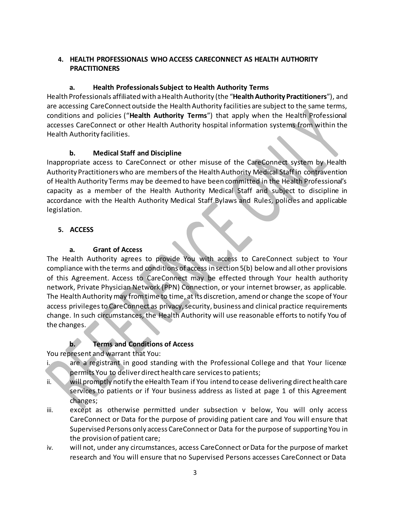#### **4. HEALTH PROFESSIONALS WHO ACCESS CARECONNECT AS HEALTH AUTHORITY PRACTITIONERS**

## **a. Health Professionals Subject to Health Authority Terms**

Health Professionals affiliated with a Health Authority (the "**Health Authority Practitioners**"), and are accessing CareConnect outside the Health Authority facilities are subject to the same terms, conditions and policies ("**Health Authority Terms**") that apply when the Health Professional accesses CareConnect or other Health Authority hospital information systems from within the Health Authority facilities.

## **b. Medical Staff and Discipline**

Inappropriate access to CareConnect or other misuse of the CareConnect system by Health Authority Practitioners who are members of the Health Authority Medical Staff in contravention of Health Authority Terms may be deemed to have been committed in the Health Professional's capacity as a member of the Health Authority Medical Staff and subject to discipline in accordance with the Health Authority Medical Staff Bylaws and Rules, policies and applicable legislation.

## **5. ACCESS**

## **a. Grant of Access**

The Health Authority agrees to provide You with access to CareConnect subject to Your compliance with the terms and conditions of access in section 5(b) below and all other provisions of this Agreement. Access to CareConnect may be effected through Your health authority network, Private Physician Network (PPN) Connection, or your internet browser, as applicable. The Health Authority may from time to time, at its discretion, amend or change the scope of Your access privileges to CareConnect as privacy, security, business and clinical practice requirements change. In such circumstances, the Health Authority will use reasonable efforts to notify You of the changes.

# **b. Terms and Conditions of Access**

You represent and warrant that You:

- i. are a registrant in good standing with the Professional College and that Your licence permits You to deliverdirect health care servicesto patients;
- ii. will promptly notify the eHealth Team if You intend to cease delivering direct health care services to patients or if Your business address as listed at page 1 of this Agreement changes;
- iii. except as otherwise permitted under subsection v below, You will only access CareConnect or Data for the purpose of providing patient care and You will ensure that Supervised Persons only access CareConnect or Data for the purpose of supporting You in the provision of patient care;
- iv. will not, under any circumstances, access CareConnect orData for the purpose of market research and You will ensure that no Supervised Persons accesses CareConnect or Data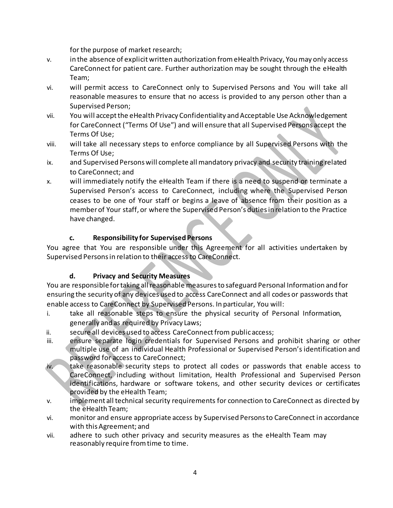for the purpose of market research;

- v. in the absence of explicitwritten authorization fromeHealth Privacy, Youmay only access CareConnect for patient care. Further authorization may be sought through the eHealth Team;
- vi. will permit access to CareConnect only to Supervised Persons and You will take all reasonable measures to ensure that no access is provided to any person other than a Supervised Person;
- vii. You will acceptthe eHealth Privacy Confidentiality and Acceptable Use Acknowledgement for CareConnect ("Terms Of Use") and will ensure that all Supervised Persons accept the Terms Of Use;
- viii. will take all necessary steps to enforce compliance by all Supervised Persons with the Terms Of Use;
- ix. and Supervised Persons will complete all mandatory privacy and security training related to CareConnect; and
- x. will immediately notify the eHealth Team if there is a need to suspend or terminate a Supervised Person's access to CareConnect, including where the Supervised Person ceases to be one of Your staff or begins a leave of absence from their position as a member of Your staff, or where the Supervised Person's duties in relation to the Practice have changed.

## **c. Responsibility for Supervised Persons**

You agree that You are responsible under this Agreement for all activities undertaken by Supervised Persons in relation to their access to CareConnect.

### **d. Privacy and Security Measures**

You are responsible for taking all reasonable measures to safeguard Personal Information and for ensuring the security of any devices used to access CareConnect and all codes or passwords that enable access to CareConnect by Supervised Persons. In particular, You will:

- i. take all reasonable steps to ensure the physical security of Personal Information, generally and as required by Privacy Laws;
- ii. secure all devices used to access CareConnect from public access;
- iii. ensure separate login credentials for Supervised Persons and prohibit sharing or other multiple use of an individual Health Professional or Supervised Person's identification and password for access to CareConnect;
- iv. take reasonable security steps to protect all codes or passwords that enable access to CareConnect, including without limitation, Health Professional and Supervised Person identifications, hardware or software tokens, and other security devices or certificates provided by the eHealth Team;
- v. implement all technical security requirements for connection to CareConnect as directed by the eHealth Team;
- vi. monitor and ensure appropriate access by Supervised Persons to CareConnect in accordance with this Agreement; and
- vii. adhere to such other privacy and security measures as the eHealth Team may reasonably require fromtime to time.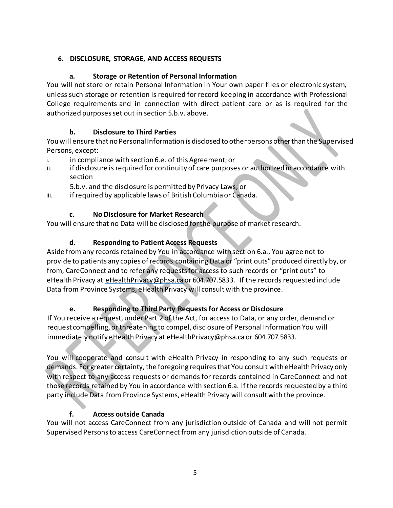## **6. DISCLOSURE, STORAGE, AND ACCESS REQUESTS**

## **a. Storage or Retention of Personal Information**

You will not store or retain Personal Information in Your own paper files or electronic system, unless such storage or retention is required for record keeping in accordance with Professional College requirements and in connection with direct patient care or as is required for the authorized purposesset out in section 5.b.v. above.

## **b. Disclosure to Third Parties**

You will ensure that no Personal Information is disclosed to other persons other than the Supervised Persons, except:

- i. in compliance with section 6.e. of this Agreement; or
- ii. if disclosure is required for continuity of care purposes or authorized in accordance with section

5.b.v. and the disclosure is permitted by Privacy Laws; or

iii. if required by applicable laws of British Columbia or Canada.

# **c. No Disclosure for Market Research**

You will ensure that no Data will be disclosed forthe purpose of market research.

# **d. Responding to Patient Access Requests**

Aside from any records retained by You in accordance with section 6.a., You agree not to provide to patients any copies of records containing Data or "print outs" produced directly by, or from, CareConnect and to refer any requests for access to such records or "print outs" to eHealth Privacy at [eHealthPrivacy@phsa.ca](mailto:eHealthPrivacy@phsa.ca) or 604.707.5833. If the records requested include Data from Province Systems, eHealth Privacy will consultwith the province.

# **e. Responding to Third Party Requests for Access or Disclosure**

If You receive a request, under Part 2 of the Act, for access to Data, or any order, demand or request compelling, or threatening to compel, disclosure of Personal Information You will immediately notify eHealth Privacy at [eHealthPrivacy@phsa.ca](mailto:eHealthPrivacy@phsa.ca) or 604.707.5833.

You will cooperate and consult with eHealth Privacy in responding to any such requests or demands. For greater certainty, the foregoing requires that You consult with eHealth Privacy only with respect to any access requests or demands for records contained in CareConnect and not those records retained by You in accordance with section 6.a. Ifthe records requested by a third party include Data from Province Systems, eHealth Privacy will consultwith the province.

# **f. Access outside Canada**

You will not access CareConnect from any jurisdiction outside of Canada and will not permit Supervised Personsto access CareConnect from any jurisdiction outside of Canada.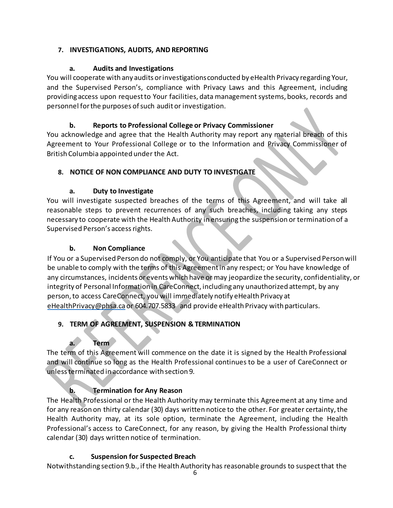### **7. INVESTIGATIONS, AUDITS, AND REPORTING**

### **a. Audits and Investigations**

You will cooperate with any audits orinvestigationsconducted by eHealth Privacy regarding Your, and the Supervised Person's, compliance with Privacy Laws and this Agreement, including providing access upon request to Your facilities, data management systems, books, records and personnel for the purposes of such audit or investigation.

### **b. Reports to Professional College or Privacy Commissioner**

You acknowledge and agree that the Health Authority may report any material breach of this Agreement to Your Professional College or to the Information and Privacy Commissioner of British Columbia appointed under the Act.

#### **8. NOTICE OF NON COMPLIANCE AND DUTY TO INVESTIGATE**

### **a. Duty to Investigate**

You will investigate suspected breaches of the terms of this Agreement, and will take all reasonable steps to prevent recurrences of any such breaches, including taking any steps necessary to cooperate with the Health Authority in ensuring the suspension or termination of a Supervised Person's accessrights.

#### **b. Non Compliance**

If You or a Supervised Person do not comply, or You anticipate that You or a Supervised Person will be unable to comply with the terms of this Agreement in any respect; or You have knowledge of any circumstances, incidents orevents which have or may jeopardize the security, confidentiality, or integrity of Personal Information in CareConnect, including any unauthorized attempt, by any person, to access CareConnect, you will immediately notify eHealth Privacy at [eHealthPrivacy@phsa.ca](mailto:eHealthPrivacy@phsa.ca) or 604.707.5833 and provide eHealth Privacy with particulars.

### **9. TERM OF AGREEMENT, SUSPENSION & TERMINATION**

### **a. Term**

The term of this Agreement will commence on the date it is signed by the Health Professional and will continue so long as the Health Professional continues to be a user of CareConnect or unlessterminated in accordance with section 9.

### **b. Termination for Any Reason**

The Health Professional or the Health Authority may terminate this Agreement at any time and for any reason on thirty calendar (30) days written notice to the other. For greater certainty, the Health Authority may, at its sole option, terminate the Agreement, including the Health Professional's access to CareConnect, for any reason, by giving the Health Professional thirty calendar (30) days written notice of termination.

### **c. Suspension for Suspected Breach**

Notwithstanding section 9.b., ifthe Health Authority has reasonable grounds to suspectthat the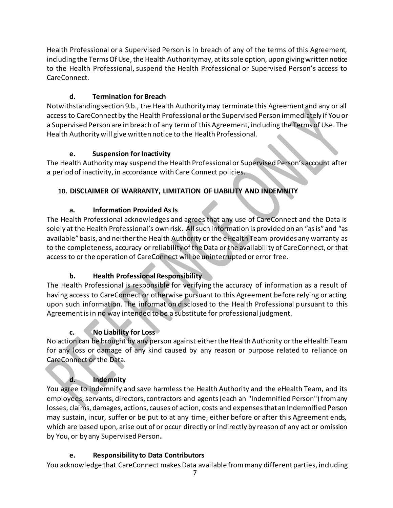Health Professional or a Supervised Person is in breach of any of the terms of this Agreement, including the Terms Of Use, the Health Authority may, at its sole option, upon giving written notice to the Health Professional, suspend the Health Professional or Supervised Person's access to CareConnect.

## **d. Termination for Breach**

Notwithstanding section 9.b., the Health Authority may terminate this Agreement and any or all access to CareConnect by the Health Professional orthe Supervised Person immediately if You or a Supervised Person are in breach of any termof this Agreement, including the Terms of Use. The Health Authority will give written notice to the Health Professional.

### **e. Suspension for Inactivity**

The Health Authority may suspend the Health Professional or Supervised Person's account after a period of inactivity, in accordance with Care Connect policies.

## **10. DISCLAIMER OF WARRANTY, LIMITATION OF LIABILITY AND INDEMNITY**

## **a. Information Provided As Is**

The Health Professional acknowledges and agrees that any use of CareConnect and the Data is solely at the Health Professional's own risk. Allsuch information is provided on an "asis"and "as available" basis, and neither the Health Authority or the eHealth Team provides any warranty as to the completeness, accuracy or reliability ofthe Data or the availability of CareConnect, or that access to or the operation of CareConnect will be uninterrupted or error free.

### **b. Health Professional Responsibility**

The Health Professional is responsible for verifying the accuracy of information as a result of having access to CareConnect or otherwise pursuant to this Agreement before relying or acting upon such information. The information disclosed to the Health Professional pursuant to this Agreement isin no way intended to be a substitute for professional judgment.

# **c. No Liability for Loss**

No action can be brought by any person against either the Health Authority or the eHealth Team for any loss or damage of any kind caused by any reason or purpose related to reliance on CareConnect or the Data.

# **d. Indemnity**

You agree to indemnify and save harmless the Health Authority and the eHealth Team, and its employees, servants, directors, contractors and agents (each an "Indemnified Person") from any losses, claims, damages, actions, causes of action, costs and expensesthat an Indemnified Person may sustain, incur, suffer or be put to at any time, either before or after this Agreement ends, which are based upon, arise out of or occur directly or indirectly by reason of any act or omission by You, or by any Supervised Person**.**

### **e. Responsibility to Data Contributors**

You acknowledge that CareConnect makes Data available from many different parties, including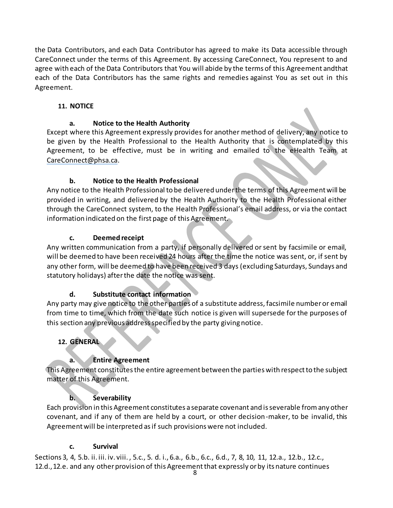the Data Contributors, and each Data Contributor has agreed to make its Data accessible through CareConnect under the terms of this Agreement. By accessing CareConnect, You represent to and agree with each of the Data Contributors that You will abide by the terms of this Agreement andthat each of the Data Contributors has the same rights and remedies against You as set out in this Agreement.

### **11. NOTICE**

#### **a. Notice to the Health Authority**

Except where this Agreement expressly provides for another method of delivery, any notice to be given by the Health Professional to the Health Authority that is contemplated by this Agreement, to be effective, must be in writing and emailed to the eHealth Team at [CareConnect@phsa.ca.](mailto:CareConnect@phsa.ca)

#### **b. Notice to the Health Professional**

Any notice to the Health Professional to be delivered under the terms of this Agreement will be provided in writing, and delivered by the Health Authority to the Health Professional either through the CareConnect system, to the Health Professional's email address, or via the contact information indicated on the first page of this Agreement.

#### **c. Deemed receipt**

Any written communication from a party, if personally delivered or sent by facsimile or email, will be deemed to have been received 24 hours after the time the notice was sent, or, if sent by any other form, will be deemed to have been received 3 days (excluding Saturdays, Sundays and statutory holidays) afterthe date the notice was sent.

### **d. Substitute contact information**

Any party may give notice to the other parties of a substitute address, facsimile numberor email from time to time, which from the date such notice is given will supersede for the purposes of this section any previous addressspecified by the party giving notice.

#### **12. GENERAL**

### **a. Entire Agreement**

This Agreement constitutes the entire agreement between the parties with respect to the subject matter of this Agreement.

#### **b. Severability**

Each provision in this Agreement constitutes a separate covenant and isseverable fromany other covenant, and if any of them are held by a court, or other decision-maker, to be invalid, this Agreement will be interpreted asif such provisions were not included.

#### **c. Survival**

Sections 3, 4, 5.b. ii. iii. iv. viii. , 5.c., 5. d. i., 6.a., 6.b., 6.c., 6.d., 7, 8, 10, 11, 12.a., 12.b., 12.c., 12.d., 12.e. and any other provision of this Agreement that expressly or by its nature continues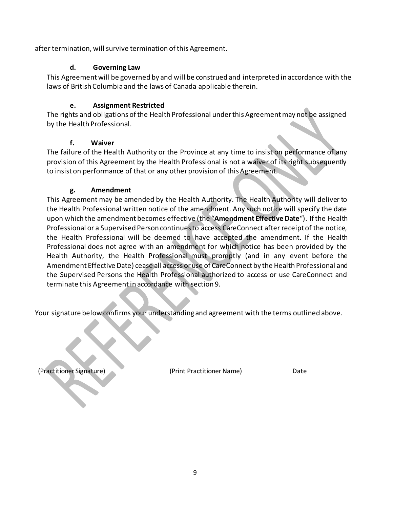after termination, will survive termination of this Agreement.

#### **d. Governing Law**

This Agreement will be governed by and will be construed and interpreted in accordance with the laws of British Columbia and the laws of Canada applicable therein.

#### **e. Assignment Restricted**

The rights and obligations of the Health Professional under this Agreement may not be assigned by the Health Professional.

#### **f. Waiver**

The failure of the Health Authority or the Province at any time to insist on performance of any provision of this Agreement by the Health Professional is not a waiver of its right subsequently to insist on performance of that or any other provision of this Agreement.

#### **g. Amendment**

This Agreement may be amended by the Health Authority. The Health Authority will deliver to the Health Professional written notice of the amendment. Any such notice will specify the date upon which the amendment becomes effective (the "**Amendment Effective Date**"). Ifthe Health Professional or a Supervised Person continues to access CareConnect after receipt of the notice, the Health Professional will be deemed to have accepted the amendment. If the Health Professional does not agree with an amendment for which notice has been provided by the Health Authority, the Health Professional must promptly (and in any event before the Amendment Effective Date) cease all access oruse of CareConnect by the Health Professional and the Supervised Persons the Health Professional authorized to access or use CareConnect and terminate this Agreementin accordance with section 9.

Your signature below confirms your understanding and agreement with the terms outlined above.

(Practitioner Signature) (Print Practitioner Name) Date